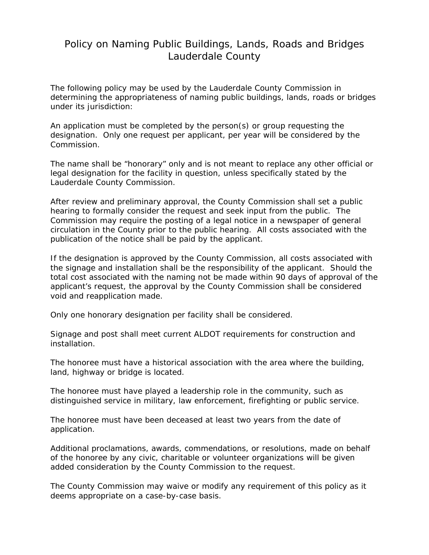## Policy on Naming Public Buildings, Lands, Roads and Bridges Lauderdale County

The following policy may be used by the Lauderdale County Commission in determining the appropriateness of naming public buildings, lands, roads or bridges under its jurisdiction:

An application must be completed by the person(s) or group requesting the designation. Only one request per applicant, per year will be considered by the Commission.

The name shall be "honorary" only and is not meant to replace any other official or legal designation for the facility in question, unless specifically stated by the Lauderdale County Commission.

After review and preliminary approval, the County Commission shall set a public hearing to formally consider the request and seek input from the public. The Commission may require the posting of a legal notice in a newspaper of general circulation in the County prior to the public hearing. All costs associated with the publication of the notice shall be paid by the applicant.

If the designation is approved by the County Commission, all costs associated with the signage and installation shall be the responsibility of the applicant. Should the total cost associated with the naming not be made within 90 days of approval of the applicant's request, the approval by the County Commission shall be considered void and reapplication made.

Only one honorary designation per facility shall be considered.

Signage and post shall meet current ALDOT requirements for construction and installation.

The honoree must have a historical association with the area where the building, land, highway or bridge is located.

The honoree must have played a leadership role in the community, such as distinguished service in military, law enforcement, firefighting or public service.

The honoree must have been deceased at least two years from the date of application.

Additional proclamations, awards, commendations, or resolutions, made on behalf of the honoree by any civic, charitable or volunteer organizations will be given added consideration by the County Commission to the request.

The County Commission may waive or modify any requirement of this policy as it deems appropriate on a case-by-case basis.